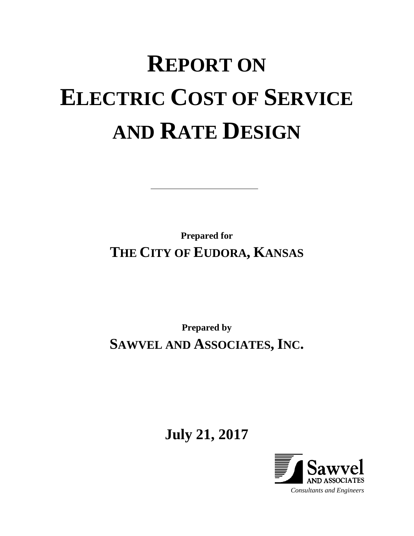# **REPORT ON ELECTRIC COST OF SERVICE AND RATE DESIGN**

**Prepared for THE CITY OF EUDORA, KANSAS**

**Prepared by SAWVEL AND ASSOCIATES, INC.**

**July 21, 2017**

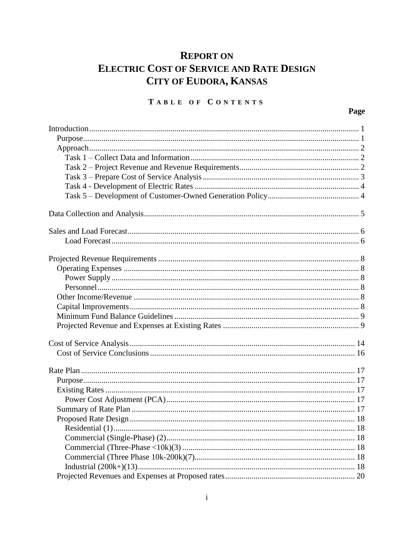# **REPORT ON ELECTRIC COST OF SERVICE AND RATE DESIGN CITY OF EUDORA, KANSAS**

## TABLE OF CONTENTS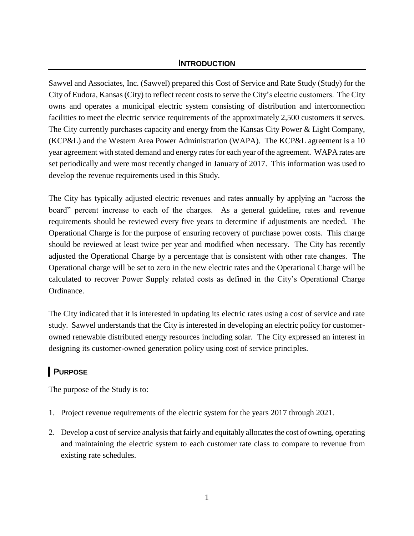#### **INTRODUCTION**

Sawvel and Associates, Inc. (Sawvel) prepared this Cost of Service and Rate Study (Study) for the City of Eudora, Kansas (City) to reflect recent costs to serve the City's electric customers. The City owns and operates a municipal electric system consisting of distribution and interconnection facilities to meet the electric service requirements of the approximately 2,500 customers it serves. The City currently purchases capacity and energy from the Kansas City Power & Light Company, (KCP&L) and the Western Area Power Administration (WAPA). The KCP&L agreement is a 10 year agreement with stated demand and energy rates for each year of the agreement. WAPA rates are set periodically and were most recently changed in January of 2017. This information was used to develop the revenue requirements used in this Study.

The City has typically adjusted electric revenues and rates annually by applying an "across the board" percent increase to each of the charges. As a general guideline, rates and revenue requirements should be reviewed every five years to determine if adjustments are needed. The Operational Charge is for the purpose of ensuring recovery of purchase power costs. This charge should be reviewed at least twice per year and modified when necessary. The City has recently adjusted the Operational Charge by a percentage that is consistent with other rate changes. The Operational charge will be set to zero in the new electric rates and the Operational Charge will be calculated to recover Power Supply related costs as defined in the City's Operational Charge Ordinance.

The City indicated that it is interested in updating its electric rates using a cost of service and rate study. Sawvel understands that the City is interested in developing an electric policy for customerowned renewable distributed energy resources including solar. The City expressed an interest in designing its customer-owned generation policy using cost of service principles.

# **PURPOSE**

The purpose of the Study is to:

- 1. Project revenue requirements of the electric system for the years 2017 through 2021.
- 2. Develop a cost of service analysis that fairly and equitably allocates the cost of owning, operating and maintaining the electric system to each customer rate class to compare to revenue from existing rate schedules.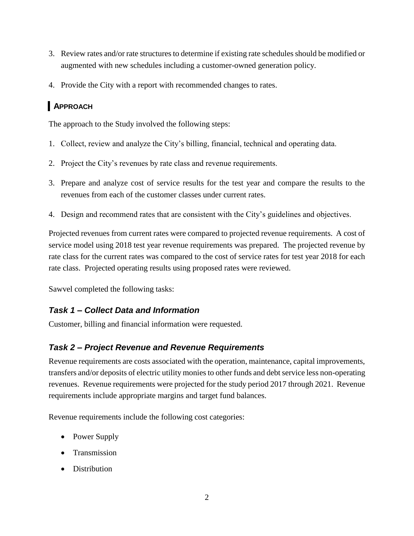- 3. Review rates and/or rate structures to determine if existing rate schedules should be modified or augmented with new schedules including a customer-owned generation policy.
- 4. Provide the City with a report with recommended changes to rates.

## **APPROACH**

The approach to the Study involved the following steps:

- 1. Collect, review and analyze the City's billing, financial, technical and operating data.
- 2. Project the City's revenues by rate class and revenue requirements.
- 3. Prepare and analyze cost of service results for the test year and compare the results to the revenues from each of the customer classes under current rates.
- 4. Design and recommend rates that are consistent with the City's guidelines and objectives.

Projected revenues from current rates were compared to projected revenue requirements. A cost of service model using 2018 test year revenue requirements was prepared. The projected revenue by rate class for the current rates was compared to the cost of service rates for test year 2018 for each rate class. Projected operating results using proposed rates were reviewed.

Sawvel completed the following tasks:

## *Task 1 – Collect Data and Information*

Customer, billing and financial information were requested.

#### *Task 2 – Project Revenue and Revenue Requirements*

Revenue requirements are costs associated with the operation, maintenance, capital improvements, transfers and/or deposits of electric utility monies to other funds and debt service less non-operating revenues. Revenue requirements were projected for the study period 2017 through 2021. Revenue requirements include appropriate margins and target fund balances.

Revenue requirements include the following cost categories:

- Power Supply
- Transmission
- Distribution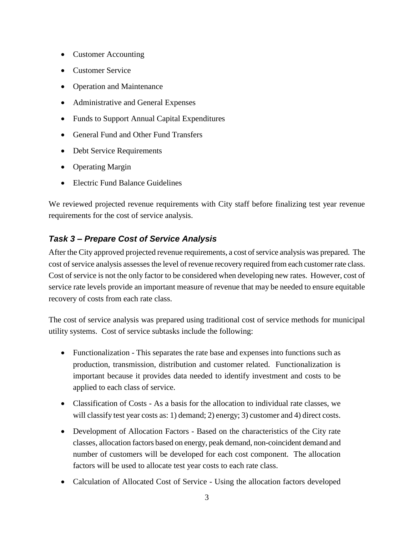- Customer Accounting
- Customer Service
- Operation and Maintenance
- Administrative and General Expenses
- Funds to Support Annual Capital Expenditures
- General Fund and Other Fund Transfers
- Debt Service Requirements
- Operating Margin
- Electric Fund Balance Guidelines

We reviewed projected revenue requirements with City staff before finalizing test year revenue requirements for the cost of service analysis.

## *Task 3 – Prepare Cost of Service Analysis*

After the City approved projected revenue requirements, a cost of service analysis was prepared. The cost of service analysis assesses the level of revenue recovery required from each customer rate class. Cost of service is not the only factor to be considered when developing new rates. However, cost of service rate levels provide an important measure of revenue that may be needed to ensure equitable recovery of costs from each rate class.

The cost of service analysis was prepared using traditional cost of service methods for municipal utility systems. Cost of service subtasks include the following:

- Functionalization This separates the rate base and expenses into functions such as production, transmission, distribution and customer related. Functionalization is important because it provides data needed to identify investment and costs to be applied to each class of service.
- Classification of Costs As a basis for the allocation to individual rate classes, we will classify test year costs as: 1) demand; 2) energy; 3) customer and 4) direct costs.
- Development of Allocation Factors Based on the characteristics of the City rate classes, allocation factors based on energy, peak demand, non-coincident demand and number of customers will be developed for each cost component. The allocation factors will be used to allocate test year costs to each rate class.
- Calculation of Allocated Cost of Service Using the allocation factors developed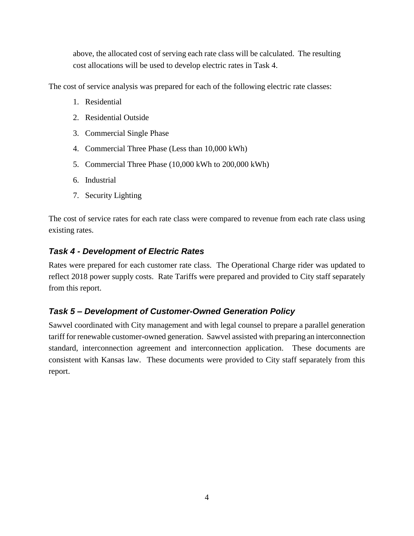above, the allocated cost of serving each rate class will be calculated. The resulting cost allocations will be used to develop electric rates in Task 4.

The cost of service analysis was prepared for each of the following electric rate classes:

- 1. Residential
- 2. Residential Outside
- 3. Commercial Single Phase
- 4. Commercial Three Phase (Less than 10,000 kWh)
- 5. Commercial Three Phase (10,000 kWh to 200,000 kWh)
- 6. Industrial
- 7. Security Lighting

The cost of service rates for each rate class were compared to revenue from each rate class using existing rates.

#### *Task 4 - Development of Electric Rates*

Rates were prepared for each customer rate class. The Operational Charge rider was updated to reflect 2018 power supply costs. Rate Tariffs were prepared and provided to City staff separately from this report.

#### *Task 5 – Development of Customer-Owned Generation Policy*

Sawvel coordinated with City management and with legal counsel to prepare a parallel generation tariff for renewable customer-owned generation. Sawvel assisted with preparing an interconnection standard, interconnection agreement and interconnection application. These documents are consistent with Kansas law. These documents were provided to City staff separately from this report.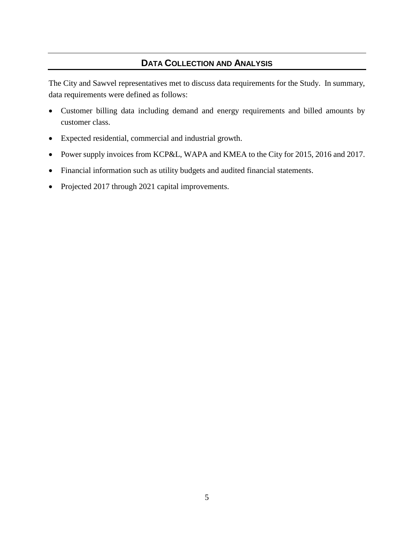## **DATA COLLECTION AND ANALYSIS**

The City and Sawvel representatives met to discuss data requirements for the Study. In summary, data requirements were defined as follows:

- Customer billing data including demand and energy requirements and billed amounts by customer class.
- Expected residential, commercial and industrial growth.
- Power supply invoices from KCP&L, WAPA and KMEA to the City for 2015, 2016 and 2017.
- Financial information such as utility budgets and audited financial statements.
- Projected 2017 through 2021 capital improvements.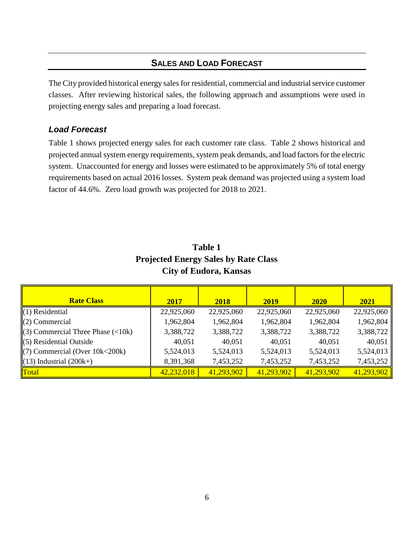## **SALES AND LOAD FORECAST**

The City provided historical energy sales for residential, commercial and industrial service customer classes. After reviewing historical sales, the following approach and assumptions were used in projecting energy sales and preparing a load forecast.

#### *Load Forecast*

Table 1 shows projected energy sales for each customer rate class. Table 2 shows historical and projected annual system energy requirements, system peak demands, and load factors for the electric system. Unaccounted for energy and losses were estimated to be approximately 5% of total energy requirements based on actual 2016 losses. System peak demand was projected using a system load factor of 44.6%. Zero load growth was projected for 2018 to 2021.

| <b>Rate Class</b>                     | 2017       | 2018       | 2019       | 2020       | 2021       |
|---------------------------------------|------------|------------|------------|------------|------------|
| $(1)$ Residential                     | 22,925,060 | 22,925,060 | 22,925,060 | 22,925,060 | 22,925,060 |
| $(2)$ Commercial                      | 1,962,804  | 1,962,804  | 1,962,804  | 1,962,804  | 1,962,804  |
| $(3)$ Commercial Three Phase $(<10k)$ | 3,388,722  | 3,388,722  | 3,388,722  | 3,388,722  | 3,388,722  |
| $(5)$ Residential Outside             | 40,051     | 40,051     | 40,051     | 40,051     | 40,051     |
| $(7)$ Commercial (Over 10k<200k)      | 5,524,013  | 5,524,013  | 5,524,013  | 5,524,013  | 5,524,013  |
| $(13)$ Industrial $(200k+)$           | 8,391,368  | 7,453,252  | 7,453,252  | 7,453,252  | 7,453,252  |
| Total                                 | 42,232,018 | 41,293,902 | 41,293,902 | 41,293,902 | 41,293,902 |

## **Table 1 Projected Energy Sales by Rate Class City of Eudora, Kansas**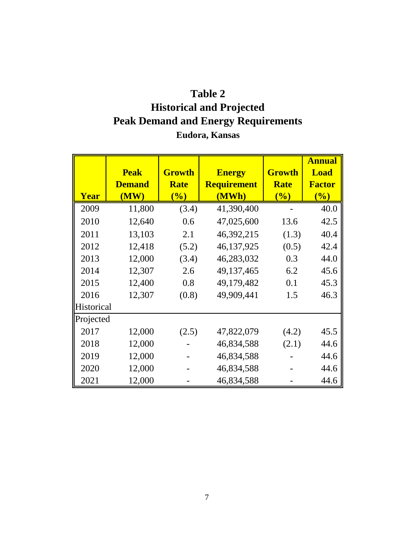# **Table 2 Historical and Projected Peak Demand and Energy Requirements Eudora, Kansas**

|            | <b>Peak</b><br><b>Demand</b> | <b>Growth</b><br><b>Rate</b> | <b>Energy</b><br><b>Requirement</b> | <b>Growth</b><br><b>Rate</b>            | <b>Annual</b><br><b>Load</b><br><b>Factor</b> |
|------------|------------------------------|------------------------------|-------------------------------------|-----------------------------------------|-----------------------------------------------|
| Year       | (MW)                         | $\left(\frac{0}{0}\right)$   | (MWh)                               | $\overline{\left( \frac{0}{0} \right)}$ | $\left(\frac{0}{0}\right)$                    |
| 2009       | 11,800                       | (3.4)                        | 41,390,400                          |                                         | 40.0                                          |
| 2010       | 12,640                       | 0.6                          | 47,025,600                          | 13.6                                    | 42.5                                          |
| 2011       | 13,103                       | 2.1                          | 46,392,215                          | (1.3)                                   | 40.4                                          |
| 2012       | 12,418                       | (5.2)                        | 46,137,925                          | (0.5)                                   | 42.4                                          |
| 2013       | 12,000                       | (3.4)                        | 46,283,032                          | 0.3                                     | 44.0                                          |
| 2014       | 12,307                       | 2.6                          | 49,137,465                          | 6.2                                     | 45.6                                          |
| 2015       | 12,400                       | 0.8                          | 49,179,482                          | 0.1                                     | 45.3                                          |
| 2016       | 12,307                       | (0.8)                        | 49,909,441                          | 1.5                                     | 46.3                                          |
| Historical |                              |                              |                                     |                                         |                                               |
| Projected  |                              |                              |                                     |                                         |                                               |
| 2017       | 12,000                       | (2.5)                        | 47,822,079                          | (4.2)                                   | 45.5                                          |
| 2018       | 12,000                       |                              | 46,834,588                          | (2.1)                                   | 44.6                                          |
| 2019       | 12,000                       |                              | 46,834,588                          |                                         | 44.6                                          |
| 2020       | 12,000                       |                              | 46,834,588                          |                                         | 44.6                                          |
| 2021       | 12,000                       |                              | 46,834,588                          |                                         | 44.6                                          |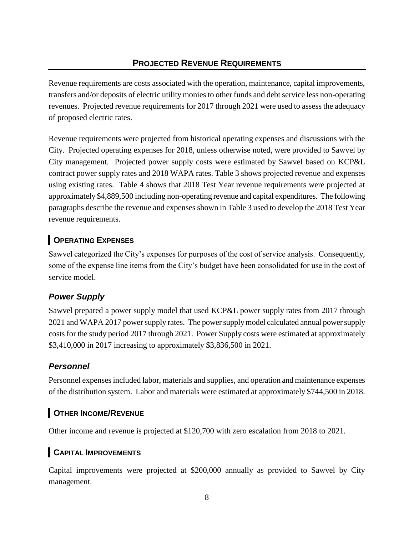## **PROJECTED REVENUE REQUIREMENTS**

Revenue requirements are costs associated with the operation, maintenance, capital improvements, transfers and/or deposits of electric utility monies to other funds and debt service less non-operating revenues. Projected revenue requirements for 2017 through 2021 were used to assess the adequacy of proposed electric rates.

Revenue requirements were projected from historical operating expenses and discussions with the City. Projected operating expenses for 2018, unless otherwise noted, were provided to Sawvel by City management. Projected power supply costs were estimated by Sawvel based on KCP&L contract power supply rates and 2018 WAPA rates. Table 3 shows projected revenue and expenses using existing rates. Table 4 shows that 2018 Test Year revenue requirements were projected at approximately \$4,889,500 including non-operating revenue and capital expenditures. The following paragraphs describe the revenue and expenses shown in Table 3 used to develop the 2018 Test Year revenue requirements.

## **OPERATING EXPENSES**

Sawvel categorized the City's expenses for purposes of the cost of service analysis. Consequently, some of the expense line items from the City's budget have been consolidated for use in the cost of service model.

## *Power Supply*

Sawvel prepared a power supply model that used KCP&L power supply rates from 2017 through 2021 and WAPA 2017 power supply rates. The power supply model calculated annual power supply costs for the study period 2017 through 2021. Power Supply costs were estimated at approximately \$3,410,000 in 2017 increasing to approximately \$3,836,500 in 2021.

## *Personnel*

Personnel expenses included labor, materials and supplies, and operation and maintenance expenses of the distribution system. Labor and materials were estimated at approximately \$744,500 in 2018.

## **OTHER INCOME/REVENUE**

Other income and revenue is projected at \$120,700 with zero escalation from 2018 to 2021.

## **CAPITAL IMPROVEMENTS**

Capital improvements were projected at \$200,000 annually as provided to Sawvel by City management.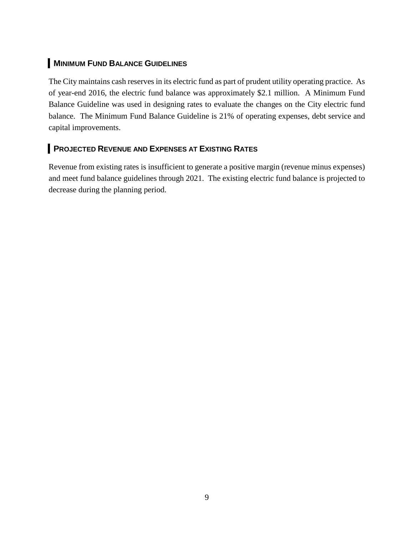## **MINIMUM FUND BALANCE GUIDELINES**

The City maintains cash reserves in its electric fund as part of prudent utility operating practice. As of year-end 2016, the electric fund balance was approximately \$2.1 million. A Minimum Fund Balance Guideline was used in designing rates to evaluate the changes on the City electric fund balance. The Minimum Fund Balance Guideline is 21% of operating expenses, debt service and capital improvements.

## **PROJECTED REVENUE AND EXPENSES AT EXISTING RATES**

Revenue from existing rates is insufficient to generate a positive margin (revenue minus expenses) and meet fund balance guidelines through 2021. The existing electric fund balance is projected to decrease during the planning period.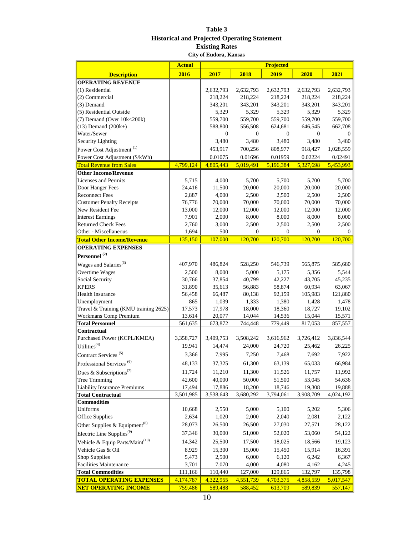#### **Table 3 Historical and Projected Operating Statement Existing Rates City of Eudora, Kansas**

|                                             | <b>Actual</b> | <b>Projected</b> |           |           |              |           |
|---------------------------------------------|---------------|------------------|-----------|-----------|--------------|-----------|
| <b>Description</b>                          | 2016          | 2017             | 2018      | 2019      | 2020         | 2021      |
| <b>OPERATING REVENUE</b>                    |               |                  |           |           |              |           |
| (1) Residential                             |               | 2,632,793        | 2,632,793 | 2,632,793 | 2,632,793    | 2,632,793 |
| (2) Commercial                              |               | 218,224          | 218,224   | 218,224   | 218,224      | 218,224   |
| (3) Demand                                  |               | 343,201          | 343,201   | 343,201   | 343,201      | 343,201   |
| (5) Residential Outside                     |               | 5,329            | 5,329     | 5,329     | 5,329        | 5,329     |
| (7) Demand (Over 10k<200k)                  |               | 559,700          | 559,700   | 559,700   | 559,700      | 559,700   |
| $(13)$ Demand $(200k+)$                     |               | 588,800          | 556,508   | 624,681   | 646,545      | 662,708   |
| Water/Sewer                                 |               | $\mathbf{0}$     | 0         | 0         | $\mathbf{0}$ | $\Omega$  |
| <b>Security Lighting</b>                    |               | 3,480            | 3,480     | 3,480     | 3,480        | 3,480     |
| Power Cost Adjustment <sup>(1)</sup>        |               | 453,917          | 700,256   | 808,977   | 918,427      | 1,028,559 |
| Power Cost Adjustment (\$/kWh)              |               | 0.01075          | 0.01696   | 0.01959   | 0.02224      | 0.02491   |
| <b>Total Revenue from Sales</b>             | 4,799,124     | 4,805,443        | 5,019,491 | 5,196,384 | 5,327,698    | 5,453,993 |
| <b>Other Income/Revenue</b>                 |               |                  |           |           |              |           |
| Licenses and Permits                        | 5,715         | 4,000            | 5,700     | 5,700     | 5,700        | 5,700     |
| Door Hanger Fees                            | 24,416        | 11,500           | 20,000    | 20,000    | 20,000       | 20,000    |
| <b>Reconnect Fees</b>                       | 2,887         | 4,000            | 2,500     | 2,500     | 2,500        | 2,500     |
| <b>Customer Penalty Receipts</b>            | 76,776        | 70,000           | 70,000    | 70,000    | 70,000       | 70,000    |
| New Resident Fee                            | 13,000        | 12,000           | 12,000    | 12,000    | 12,000       | 12,000    |
| <b>Interest Earnings</b>                    | 7,901         | 2,000            | 8,000     | 8,000     | 8,000        | 8,000     |
| <b>Returned Check Fees</b>                  | 2,760         | 3,000            | 2,500     | 2,500     | 2,500        | 2,500     |
| Other - Miscellaneous                       | 1,694         | 500              | 0         | 0         | $\Omega$     | $\bf{0}$  |
| <b>Total Other Income/Revenue</b>           | 135,150       | 107,000          | 120,700   | 120,700   | 120,700      | 120.700   |
| <b>OPERATING EXPENSES</b>                   |               |                  |           |           |              |           |
| Personnel <sup>(2)</sup>                    |               |                  |           |           |              |           |
| Wages and Salaries <sup>(3)</sup>           | 407,970       | 486,824          | 528,250   | 546,739   | 565,875      | 585,680   |
| Overtime Wages                              | 2,500         | 8,000            | 5,000     | 5,175     | 5,356        | 5,544     |
| Social Security                             | 30,766        | 37,854           | 40,799    | 42,227    | 43,705       | 45,235    |
| <b>KPERS</b>                                | 31,890        | 35,613           | 56,883    | 58,874    | 60,934       | 63,067    |
| <b>Health Insurance</b>                     | 56,458        | 66,487           | 80,138    | 92,159    | 105,983      | 121,880   |
| Unemployment                                | 865           | 1,039            | 1,333     | 1,380     | 1,428        | 1,478     |
| Travel & Training (KMU training 2625)       | 17,573        | 17,978           | 18,000    | 18,360    | 18,727       | 19,102    |
| <b>Workmans Comp Premium</b>                | 13,614        | 20,077           | 14,044    | 14,536    | 15,044       | 15,571    |
| <b>Total Personnel</b>                      | 561,635       | 673,872          | 744,448   | 779,449   | 817,053      | 857,557   |
| Contractual                                 |               |                  |           |           |              |           |
| Purchased Power (KCPL/KMEA)                 | 3,358,727     | 3,409,753        | 3,508,242 | 3,616,962 | 3,726,412    | 3,836,544 |
| Utilities <sup>(4)</sup>                    | 19,941        | 14,474           | 24,000    | 24,720    | 25,462       | 26,225    |
| Contract Services <sup>(5)</sup>            | 3,366         | 7,995            | 7,250     | 7,468     | 7,692        | 7,922     |
| Professional Services <sup>(6)</sup>        | 48,133        | 37,325           | 61,300    | 63,139    | 65,033       | 66,984    |
| Dues & Subscriptions <sup>(7)</sup>         | 11,724        | 11,210           | 11,300    | 11,526    | 11,757       | 11,992    |
| Tree Trimming                               | 42,600        | 40,000           | 50,000    | 51,500    | 53,045       | 54,636    |
| <b>Liability Insurance Premiums</b>         | 17,494        | 17,886           | 18,200    | 18,746    | 19,308       | 19,888    |
| <b>Total Contractual</b>                    | 3,501,985     | 3,538,643        | 3,680,292 | 3,794,061 | 3,908,709    | 4,024,192 |
| <b>Commodities</b>                          |               |                  |           |           |              |           |
| Uniforms                                    | 10,668        | 2,550            | 5,000     | 5,100     | 5,202        | 5,306     |
| <b>Office Supplies</b>                      | 2,634         | 1,020            | 2,000     | 2,040     | 2,081        | 2,122     |
| Other Supplies & Equipment <sup>(8)</sup>   | 28,073        | 26,500           | 26,500    | 27,030    | 27,571       | 28,122    |
| Electric Line Supplies <sup>(9)</sup>       | 37,346        | 30,000           | 51,000    | 52,020    | 53,060       | 54,122    |
| Vehicle & Equip Parts/Maint <sup>(10)</sup> | 14,342        | 25,500           | 17,500    | 18,025    | 18,566       | 19,123    |
| Vehicle Gas & Oil                           | 8,929         | 15,300           | 15,000    | 15,450    | 15,914       | 16,391    |
| <b>Shop Supplies</b>                        | 5,473         | 2,500            | 6,000     | 6,120     | 6,242        | 6,367     |
| <b>Facilities Maintenance</b>               | 3,701         | 7,070            | 4,000     | 4,080     | 4,162        | 4,245     |
| <b>Total Commodities</b>                    | 111,166       | 110,440          | 127,000   | 129,865   | 132,797      | 135,798   |
| <b>TOTAL OPERATING EXPENSES</b>             | 4,174,787     | 4,322,955        | 4,551,739 | 4,703,375 | 4,858,559    | 5,017,547 |
| <b>NET OPERATING INCOME</b>                 | 759,486       | 589,488          | 588,452   | 613,709   | 589,839      | 557,147   |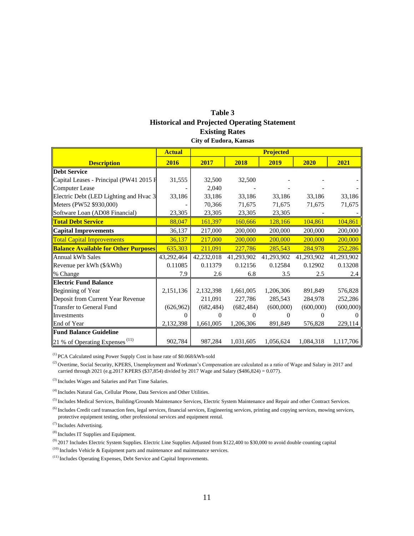#### **Table 3 Historical and Projected Operating Statement Existing Rates City of Eudora, Kansas**

|                                                                 | <b>Actual</b> | <b>Projected</b> |            |            |              |            |
|-----------------------------------------------------------------|---------------|------------------|------------|------------|--------------|------------|
| <b>Description</b>                                              | 2016          | 2017             | 2018       | 2019       | 2020         | 2021       |
| <b>Debt Service</b>                                             |               |                  |            |            |              |            |
| Capital Leases - Principal (PW41 2015 F                         | 31,555        | 32,500           | 32,500     |            |              |            |
| Computer Lease                                                  |               | 2,040            |            |            |              |            |
| Electric Debt (LED Lighting and Hvac 3                          | 33,186        | 33,186           | 33,186     | 33,186     | 33,186       | 33,186     |
| Meters (PW52 \$930,000)                                         |               | 70,366           | 71,675     | 71,675     | 71,675       | 71,675     |
| Software Loan (AD08 Financial)                                  | 23,305        | 23,305           | 23,305     | 23,305     |              |            |
| <b>Total Debt Service</b>                                       | 88,047        | 161,397          | 160,666    | 128,166    | 104,861      | 104,861    |
| <b>Capital Improvements</b>                                     | 36,137        | 217,000          | 200,000    | 200,000    | 200,000      | 200,000    |
| <b>Total Capital Improvements</b>                               | 36,137        | 217,000          | 200,000    | 200,000    | 200,000      | 200,000    |
| <b>Balance Available for Other Purposes</b>                     | 635,303       | 211,091          | 227,786    | 285,543    | 284,978      | 252,286    |
| lAnnual kWh Sales                                               | 43,292,464    | 42,232,018       | 41,293,902 | 41,293,902 | 41,293,902   | 41,293,902 |
| Revenue per kWh (\$/kWh)                                        | 0.11085       | 0.11379          | 0.12156    | 0.12584    | 0.12902      | 0.13208    |
| % Change                                                        | 7.9           | 2.6              | 6.8        | 3.5        | 2.5          | 2.4        |
| <b>Electric Fund Balance</b>                                    |               |                  |            |            |              |            |
| Beginning of Year                                               | 2,151,136     | 2,132,398        | 1,661,005  | 1,206,306  | 891,849      | 576,828    |
| Deposit from Current Year Revenue                               |               | 211,091          | 227,786    | 285,543    | 284,978      | 252,286    |
| Transfer to General Fund                                        | (626,962)     | (682, 484)       | (682, 484) | (600,000)  | (600,000)    | (600,000)  |
| <b>II</b> nvestments                                            | 0             | 0                |            |            | $\mathbf{0}$ |            |
| End of Year                                                     | 2,132,398     | 1,661,005        | 1,206,306  | 891,849    | 576,828      | 229,114    |
| <b>Fund Balance Guideline</b>                                   |               |                  |            |            |              |            |
| $\left 21\right\rangle$ % of Operating Expenses <sup>(11)</sup> | 902,784       | 987,284          | 1,031,605  | 1,056,624  | 1,084,318    | 1,117,706  |

(1) PCA Calculated using Power Supply Cost in base rate of \$0.068/kWh-sold

<sup>(2)</sup> Overtime, Social Security, KPERS, Unemployment and Workman's Compensation are calculated as a ratio of Wage and Salary in 2017 and carried through 2021 (e.g.2017 KPERS (\$37,854) divided by 2017 Wage and Salary (\$486,824) = 0.077).

(3) Includes Wages and Salaries and Part Time Salaries.

(4) Includes Natural Gas, Cellular Phone, Data Services and Other Utilities.

<sup>(5)</sup> Includes Medical Services, Building/Grounds Maintenance Services, Electric System Maintenance and Repair and other Contract Services.

<sup>(6)</sup> Includes Credit card transaction fees, legal services, financial services, Engineering services, printing and copying services, mowing services, protective equipment testing, other professional services and equipment rental.

(7) Includes Advertising.

(8) Includes IT Supplies and Equipment.

 $^{(9)}$  2017 Includes Electric System Supplies. Electric Line Supplies Adjusted from \$122,400 to \$30,000 to avoid double counting capital

 $(10)$  Includes Vehicle & Equipment parts and maintenance and maintenance services.

(11) Includes Operating Expenses, Debt Service and Capital Improvements.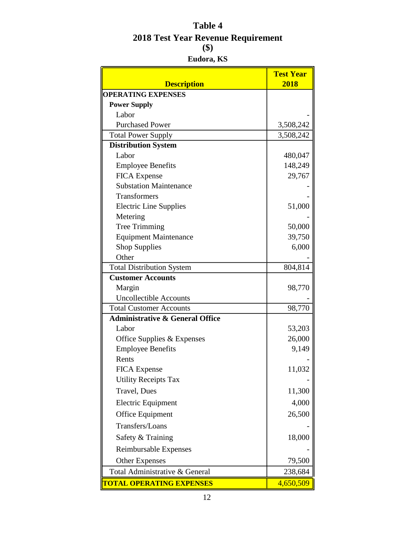## **Table 4 2018 Test Year Revenue Requirement (\$)**

#### **Eudora, KS**

| <b>Description</b>                         | <b>Test Year</b><br>2018 |
|--------------------------------------------|--------------------------|
| <b>OPERATING EXPENSES</b>                  |                          |
| <b>Power Supply</b>                        |                          |
| Labor                                      |                          |
| <b>Purchased Power</b>                     | 3,508,242                |
| <b>Total Power Supply</b>                  | 3,508,242                |
| <b>Distribution System</b>                 |                          |
| Labor                                      | 480,047                  |
| <b>Employee Benefits</b>                   | 148,249                  |
| <b>FICA</b> Expense                        | 29,767                   |
| <b>Substation Maintenance</b>              |                          |
| <b>Transformers</b>                        |                          |
| <b>Electric Line Supplies</b>              | 51,000                   |
| Metering                                   |                          |
| <b>Tree Trimming</b>                       | 50,000                   |
| <b>Equipment Maintenance</b>               | 39,750                   |
| <b>Shop Supplies</b>                       | 6,000                    |
| Other                                      |                          |
| <b>Total Distribution System</b>           | 804,814                  |
| <b>Customer Accounts</b>                   |                          |
| Margin                                     | 98,770                   |
| <b>Uncollectible Accounts</b>              |                          |
| <b>Total Customer Accounts</b>             | 98,770                   |
| <b>Administrative &amp; General Office</b> |                          |
| Labor                                      | 53,203                   |
| Office Supplies & Expenses                 | 26,000                   |
| <b>Employee Benefits</b>                   | 9,149                    |
| Rents                                      |                          |
| <b>FICA Expense</b>                        | 11,032                   |
| <b>Utility Receipts Tax</b>                |                          |
| <b>Travel</b> , Dues                       | 11,300                   |
| <b>Electric Equipment</b>                  | 4,000                    |
| <b>Office Equipment</b>                    | 26,500                   |
| Transfers/Loans                            |                          |
| Safety & Training                          | 18,000                   |
| Reimbursable Expenses                      |                          |
| <b>Other Expenses</b>                      | 79,500                   |
| Total Administrative & General             | 238,684                  |
| <b>TOTAL OPERATING EXPENSES</b>            | 4,650,509                |
| 12                                         |                          |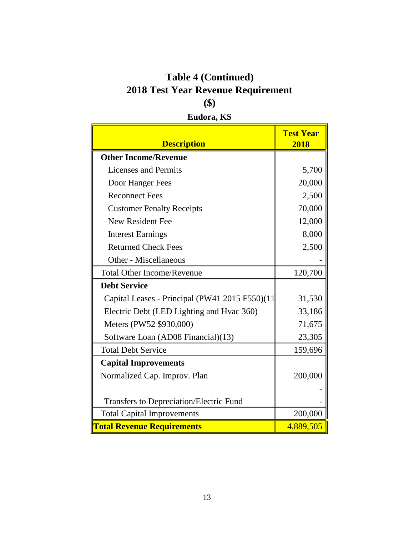# **2018 Test Year Revenue Requirement (\$) Table 4 (Continued)**

# **Eudora, KS**

| <b>Description</b>                             | <b>Test Year</b><br>2018 |
|------------------------------------------------|--------------------------|
| <b>Other Income/Revenue</b>                    |                          |
| <b>Licenses and Permits</b>                    | 5,700                    |
| Door Hanger Fees                               | 20,000                   |
| <b>Reconnect Fees</b>                          | 2,500                    |
| <b>Customer Penalty Receipts</b>               | 70,000                   |
| <b>New Resident Fee</b>                        | 12,000                   |
| <b>Interest Earnings</b>                       | 8,000                    |
| <b>Returned Check Fees</b>                     | 2,500                    |
| Other - Miscellaneous                          |                          |
| <b>Total Other Income/Revenue</b>              | 120,700                  |
| <b>Debt Service</b>                            |                          |
| Capital Leases - Principal (PW41 2015 F550)(11 | 31,530                   |
| Electric Debt (LED Lighting and Hvac 360)      | 33,186                   |
| Meters (PW52 \$930,000)                        | 71,675                   |
| Software Loan (AD08 Financial)(13)             | 23,305                   |
| <b>Total Debt Service</b>                      | 159,696                  |
| <b>Capital Improvements</b>                    |                          |
| Normalized Cap. Improv. Plan                   | 200,000                  |
|                                                |                          |
| <b>Transfers to Depreciation/Electric Fund</b> |                          |
| <b>Total Capital Improvements</b>              | 200,000                  |
| <b>Total Revenue Requirements</b>              | 4,889,505                |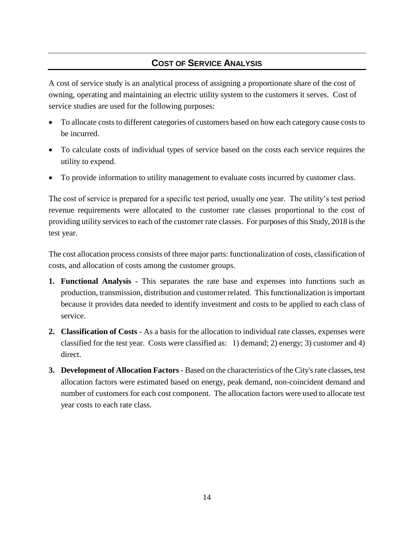## **COST OF SERVICE ANALYSIS**

A cost of service study is an analytical process of assigning a proportionate share of the cost of owning, operating and maintaining an electric utility system to the customers it serves. Cost of service studies are used for the following purposes:

- To allocate costs to different categories of customers based on how each category cause costs to be incurred.
- To calculate costs of individual types of service based on the costs each service requires the utility to expend.
- To provide information to utility management to evaluate costs incurred by customer class.

The cost of service is prepared for a specific test period, usually one year. The utility's test period revenue requirements were allocated to the customer rate classes proportional to the cost of providing utility services to each of the customer rate classes. For purposes of this Study, 2018 is the test year.

The cost allocation process consists of three major parts: functionalization of costs, classification of costs, and allocation of costs among the customer groups.

- **1. Functional Analysis** This separates the rate base and expenses into functions such as production, transmission, distribution and customer related. This functionalization is important because it provides data needed to identify investment and costs to be applied to each class of service.
- **2. Classification of Costs** As a basis for the allocation to individual rate classes, expenses were classified for the test year. Costs were classified as: 1) demand; 2) energy; 3) customer and 4) direct.
- **3. Development of Allocation Factors** Based on the characteristics of the City's rate classes, test allocation factors were estimated based on energy, peak demand, non-coincident demand and number of customers for each cost component. The allocation factors were used to allocate test year costs to each rate class.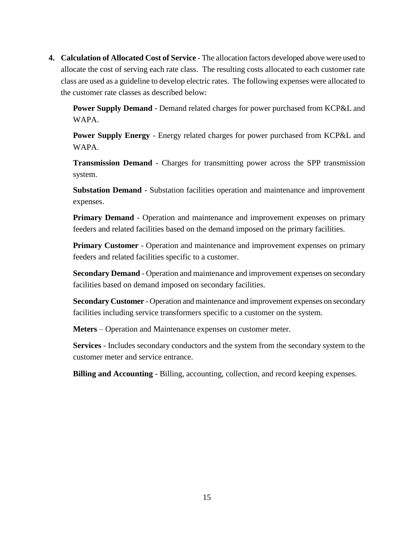**4. Calculation of Allocated Cost of Service** - The allocation factors developed above were used to allocate the cost of serving each rate class. The resulting costs allocated to each customer rate class are used as a guideline to develop electric rates. The following expenses were allocated to the customer rate classes as described below:

**Power Supply Demand** - Demand related charges for power purchased from KCP&L and WAPA.

**Power Supply Energy** - Energy related charges for power purchased from KCP&L and WAPA.

**Transmission Demand** - Charges for transmitting power across the SPP transmission system.

**Substation Demand** - Substation facilities operation and maintenance and improvement expenses.

**Primary Demand** - Operation and maintenance and improvement expenses on primary feeders and related facilities based on the demand imposed on the primary facilities.

**Primary Customer** - Operation and maintenance and improvement expenses on primary feeders and related facilities specific to a customer.

**Secondary Demand** - Operation and maintenance and improvement expenses on secondary facilities based on demand imposed on secondary facilities.

**Secondary Customer** - Operation and maintenance and improvement expenses on secondary facilities including service transformers specific to a customer on the system.

**Meters** – Operation and Maintenance expenses on customer meter.

**Services** - Includes secondary conductors and the system from the secondary system to the customer meter and service entrance.

**Billing and Accounting** - Billing, accounting, collection, and record keeping expenses.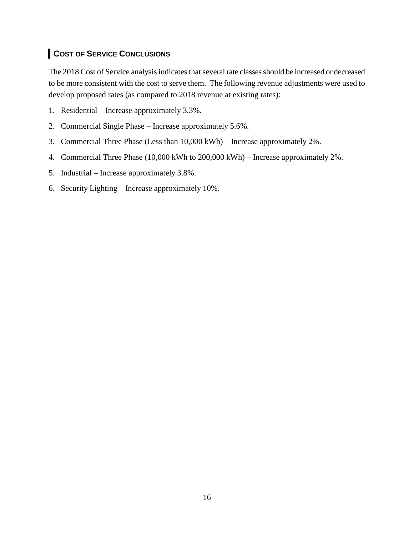## **COST OF SERVICE CONCLUSIONS**

The 2018 Cost of Service analysis indicates that several rate classes should be increased or decreased to be more consistent with the cost to serve them. The following revenue adjustments were used to develop proposed rates (as compared to 2018 revenue at existing rates):

- 1. Residential Increase approximately 3.3%.
- 2. Commercial Single Phase Increase approximately 5.6%.
- 3. Commercial Three Phase (Less than 10,000 kWh) Increase approximately 2%.
- 4. Commercial Three Phase (10,000 kWh to 200,000 kWh) Increase approximately 2%.
- 5. Industrial Increase approximately 3.8%.
- 6. Security Lighting Increase approximately 10%.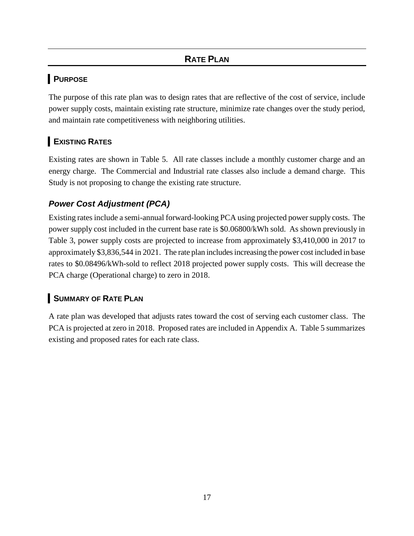## **RATE PLAN**

## **PURPOSE**

The purpose of this rate plan was to design rates that are reflective of the cost of service, include power supply costs, maintain existing rate structure, minimize rate changes over the study period, and maintain rate competitiveness with neighboring utilities.

## **EXISTING RATES**

Existing rates are shown in Table 5. All rate classes include a monthly customer charge and an energy charge. The Commercial and Industrial rate classes also include a demand charge. This Study is not proposing to change the existing rate structure.

## *Power Cost Adjustment (PCA)*

Existing rates include a semi-annual forward-looking PCA using projected power supply costs. The power supply cost included in the current base rate is \$0.06800/kWh sold. As shown previously in Table 3, power supply costs are projected to increase from approximately \$3,410,000 in 2017 to approximately \$3,836,544 in 2021. The rate plan includes increasing the power cost included in base rates to \$0.08496/kWh-sold to reflect 2018 projected power supply costs. This will decrease the PCA charge (Operational charge) to zero in 2018.

## **RSUMMARY OF RATE PLAN**

A rate plan was developed that adjusts rates toward the cost of serving each customer class. The PCA is projected at zero in 2018. Proposed rates are included in Appendix A. Table 5 summarizes existing and proposed rates for each rate class.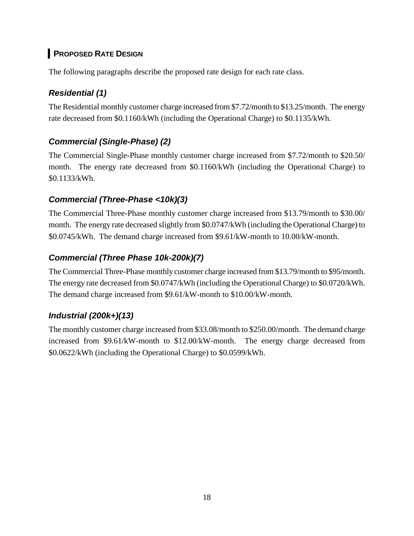## **PROPOSED RATE DESIGN**

The following paragraphs describe the proposed rate design for each rate class.

## *Residential (1)*

The Residential monthly customer charge increased from \$7.72/month to \$13.25/month. The energy rate decreased from \$0.1160/kWh (including the Operational Charge) to \$0.1135/kWh.

## *Commercial (Single-Phase) (2)*

The Commercial Single-Phase monthly customer charge increased from \$7.72/month to \$20.50/ month. The energy rate decreased from \$0.1160/kWh (including the Operational Charge) to \$0.1133/kWh.

## *Commercial (Three-Phase <10k)(3)*

The Commercial Three-Phase monthly customer charge increased from \$13.79/month to \$30.00/ month. The energy rate decreased slightly from \$0.0747/kWh (including the Operational Charge) to \$0.0745/kWh. The demand charge increased from \$9.61/kW-month to 10.00/kW-month.

## *Commercial (Three Phase 10k-200k)(7)*

The Commercial Three-Phase monthly customer charge increased from \$13.79/month to \$95/month. The energy rate decreased from \$0.0747/kWh (including the Operational Charge) to \$0.0720/kWh. The demand charge increased from \$9.61/kW-month to \$10.00/kW-month.

## *Industrial (200k+)(13)*

The monthly customer charge increased from \$33.08/month to \$250.00/month. The demand charge increased from \$9.61/kW-month to \$12.00/kW-month. The energy charge decreased from \$0.0622/kWh (including the Operational Charge) to \$0.0599/kWh.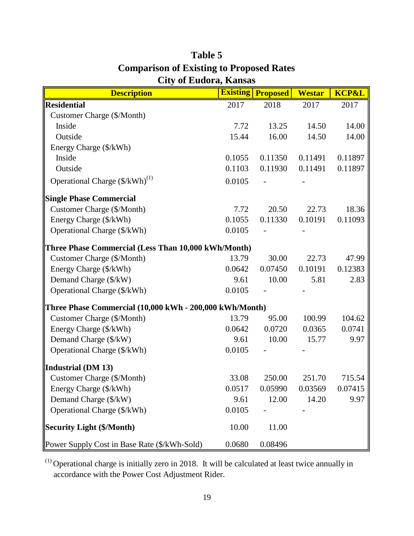| <b>Description</b>                                      |        | <b>Existing Proposed</b> | <b>Westar</b> | <b>KCP&amp;L</b> |
|---------------------------------------------------------|--------|--------------------------|---------------|------------------|
| <b>Residential</b>                                      | 2017   | 2018                     | 2017          | 2017             |
| <b>Customer Charge (\$/Month)</b>                       |        |                          |               |                  |
| Inside                                                  | 7.72   | 13.25                    | 14.50         | 14.00            |
| Outside                                                 | 15.44  | 16.00                    | 14.50         | 14.00            |
| Energy Charge (\$/kWh)                                  |        |                          |               |                  |
| Inside                                                  | 0.1055 | 0.11350                  | 0.11491       | 0.11897          |
| Outside                                                 | 0.1103 | 0.11930                  | 0.11491       | 0.11897          |
| Operational Charge (\$/kWh) <sup>(1)</sup>              | 0.0105 |                          |               |                  |
| <b>Single Phase Commercial</b>                          |        |                          |               |                  |
| Customer Charge (\$/Month)                              | 7.72   | 20.50                    | 22.73         | 18.36            |
| Energy Charge (\$/kWh)                                  | 0.1055 | 0.11330                  | 0.10191       | 0.11093          |
| Operational Charge (\$/kWh)                             | 0.0105 |                          |               |                  |
| Three Phase Commercial (Less Than 10,000 kWh/Month)     |        |                          |               |                  |
| Customer Charge (\$/Month)                              | 13.79  | 30.00                    | 22.73         | 47.99            |
| Energy Charge (\$/kWh)                                  | 0.0642 | 0.07450                  | 0.10191       | 0.12383          |
| Demand Charge (\$/kW)                                   | 9.61   | 10.00                    | 5.81          | 2.83             |
| Operational Charge (\$/kWh)                             | 0.0105 |                          |               |                  |
| Three Phase Commercial (10,000 kWh - 200,000 kWh/Month) |        |                          |               |                  |
| Customer Charge (\$/Month)                              | 13.79  | 95.00                    | 100.99        | 104.62           |
| Energy Charge (\$/kWh)                                  | 0.0642 | 0.0720                   | 0.0365        | 0.0741           |
| Demand Charge (\$/kW)                                   | 9.61   | 10.00                    | 15.77         | 9.97             |
| Operational Charge (\$/kWh)                             | 0.0105 |                          |               |                  |
| Industrial (DM 13)                                      |        |                          |               |                  |
| Customer Charge (\$/Month)                              | 33.08  | 250.00                   | 251.70        | 715.54           |
| Energy Charge (\$/kWh)                                  | 0.0517 | 0.05990                  | 0.03569       | 0.07415          |
| Demand Charge (\$/kW)                                   | 9.61   | 12.00                    | 14.20         | 9.97             |
| Operational Charge (\$/kWh)                             | 0.0105 |                          |               |                  |
| <b>Security Light (\$/Month)</b>                        | 10.00  | 11.00                    |               |                  |
| Power Supply Cost in Base Rate (\$/kWh-Sold)            | 0.0680 | 0.08496                  |               |                  |

## **Table 5 Comparison of Existing to Proposed Rates City of Eudora, Kansas**

 $(1)$  Operational charge is initially zero in 2018. It will be calculated at least twice annually in accordance with the Power Cost Adjustment Rider.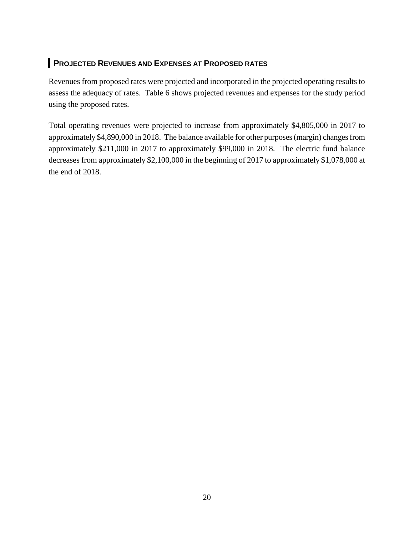## **PROJECTED REVENUES AND EXPENSES AT PROPOSED RATES**

Revenues from proposed rates were projected and incorporated in the projected operating results to assess the adequacy of rates. Table 6 shows projected revenues and expenses for the study period using the proposed rates.

Total operating revenues were projected to increase from approximately \$4,805,000 in 2017 to approximately \$4,890,000 in 2018. The balance available for other purposes (margin) changes from approximately \$211,000 in 2017 to approximately \$99,000 in 2018. The electric fund balance decreases from approximately \$2,100,000 in the beginning of 2017 to approximately \$1,078,000 at the end of 2018.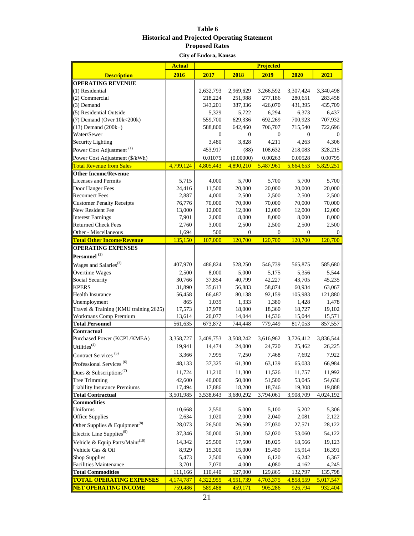#### **Table 6 Historical and Projected Operating Statement Proposed Rates**

**City of Eudora, Kansas**

|                                             | <b>Actual</b> | <b>Projected</b> |              |              |                  |           |
|---------------------------------------------|---------------|------------------|--------------|--------------|------------------|-----------|
| <b>Description</b>                          | 2016          | 2017             | 2018         | 2019         | 2020             | 2021      |
| <b>OPERATING REVENUE</b>                    |               |                  |              |              |                  |           |
| $(1)$ Residential                           |               | 2,632,793        | 2,969,629    | 3,266,592    | 3,307,424        | 3,340,498 |
| (2) Commercial                              |               | 218,224          | 251,988      | 277,186      | 280,651          | 283,458   |
| $(3)$ Demand                                |               | 343,201          | 387,336      | 426,070      | 431,395          | 435,709   |
| (5) Residential Outside                     |               | 5,329            | 5,722        | 6,294        | 6,373            | 6,437     |
| $(7)$ Demand (Over $10k<200k$ )             |               | 559,700          | 629,336      | 692,269      | 700,923          | 707,932   |
| $(13)$ Demand $(200k+)$                     |               | 588,800          | 642,460      | 706,707      | 715,540          | 722,696   |
| Water/Sewer                                 |               | 0                | 0            | $\bf{0}$     | $\boldsymbol{0}$ | 0         |
| Security Lighting                           |               | 3,480            | 3,828        | 4,211        | 4,263            | 4,306     |
| Power Cost Adjustment <sup>(1)</sup>        |               | 453,917          | (88)         | 108,632      | 218,083          | 328,215   |
| Power Cost Adjustment (\$/kWh)              |               | 0.01075          | (0.00000)    | 0.00263      | 0.00528          | 0.00795   |
| <b>Total Revenue from Sales</b>             | 4,799,124     | 4,805,443        | 4,890,210    | 5,487,961    | 5,664,653        | 5,829,251 |
| <b>Other Income/Revenue</b>                 |               |                  |              |              |                  |           |
| Licenses and Permits                        | 5,715         | 4,000            | 5,700        | 5,700        | 5,700            | 5,700     |
| Door Hanger Fees                            | 24,416        | 11,500           | 20,000       | 20,000       | 20,000           | 20,000    |
| <b>Reconnect Fees</b>                       | 2,887         | 4,000            | 2,500        | 2,500        | 2,500            | 2,500     |
| <b>Customer Penalty Receipts</b>            | 76,776        | 70,000           | 70,000       | 70,000       | 70,000           | 70,000    |
| New Resident Fee                            | 13,000        | 12,000           | 12,000       | 12,000       | 12,000           | 12,000    |
| <b>Interest Earnings</b>                    | 7,901         | 2,000            | 8,000        | 8,000        | 8,000            | 8,000     |
| <b>Returned Check Fees</b>                  | 2,760         | 3,000            | 2,500        | 2,500        | 2,500            | 2,500     |
| Other - Miscellaneous                       | 1,694         | 500              | $\mathbf{0}$ | $\mathbf{0}$ | $\Omega$         | $\theta$  |
| <b>Total Other Income/Revenue</b>           | 135,150       | 107,000          | 120,700      | 120,700      | 120,700          | 120,700   |
| <b>OPERATING EXPENSES</b>                   |               |                  |              |              |                  |           |
| Personnel <sup>(2)</sup>                    |               |                  |              |              |                  |           |
| Wages and Salaries <sup>(3)</sup>           | 407,970       | 486,824          | 528,250      | 546,739      | 565,875          | 585,680   |
| Overtime Wages                              | 2,500         | 8,000            | 5,000        | 5,175        | 5,356            | 5,544     |
| Social Security                             | 30,766        | 37,854           | 40,799       | 42,227       | 43,705           | 45,235    |
| <b>KPERS</b>                                | 31,890        | 35,613           | 56,883       | 58,874       | 60,934           | 63,067    |
| <b>Health Insurance</b>                     | 56,458        | 66,487           | 80,138       | 92,159       | 105,983          | 121,880   |
| Unemployment                                | 865           | 1,039            | 1,333        | 1,380        | 1,428            | 1,478     |
| Travel & Training (KMU training 2625)       | 17,573        | 17,978           | 18,000       | 18,360       | 18,727           | 19,102    |
| <b>Workmans Comp Premium</b>                | 13,614        | 20,077           | 14,044       | 14,536       | 15,044           | 15,571    |
| <b>Total Personnel</b>                      | 561,635       | 673,872          | 744,448      | 779,449      | 817,053          | 857,557   |
| Contractual                                 |               |                  |              |              |                  |           |
| Purchased Power (KCPL/KMEA)                 | 3,358,727     | 3,409,753        | 3,508,242    | 3,616,962    | 3,726,412        | 3,836,544 |
| Utilities <sup>(4)</sup>                    | 19,941        | 14,474           | 24,000       | 24,720       | 25,462           | 26,225    |
| Contract Services <sup>(5)</sup>            | 3,366         | 7,995            | 7,250        | 7,468        | 7,692            | 7,922     |
| Professional Services <sup>(6)</sup>        | 48,133        | 37,325           | 61,300       | 63,139       | 65,033           | 66,984    |
| Dues & Subscriptions <sup>(7)</sup>         | 11,724        | 11,210           | 11,300       | 11,526       | 11,757           | 11,992    |
| Tree Trimming                               | 42,600        | 40,000           | 50,000       | 51,500       | 53,045           | 54,636    |
| Liability Insurance Premiums                | 17,494        | 17,886           | 18,200       | 18,746       | 19,308           | 19,888    |
| <b>Total Contractual</b>                    | 3,501,985     | 3,538,643        | 3,680,292    | 3,794,061    | 3,908,709        | 4,024,192 |
| <b>Commodities</b>                          |               |                  |              |              |                  |           |
| Uniforms                                    | 10,668        | 2,550            | 5,000        | 5,100        | 5,202            | 5,306     |
| Office Supplies                             | 2,634         | 1,020            | 2,000        | 2,040        | 2,081            | 2,122     |
| Other Supplies & Equipment <sup>(8)</sup>   | 28,073        | 26,500           | 26,500       | 27,030       | 27,571           | 28,122    |
| Electric Line Supplies <sup>(9)</sup>       | 37,346        | 30,000           | 51,000       | 52,020       | 53,060           | 54,122    |
| Vehicle & Equip Parts/Maint <sup>(10)</sup> | 14,342        | 25,500           | 17,500       | 18,025       | 18,566           | 19,123    |
| Vehicle Gas & Oil                           | 8,929         | 15,300           | 15,000       | 15,450       | 15,914           | 16,391    |
| Shop Supplies                               | 5,473         | 2,500            | 6,000        | 6,120        | 6,242            | 6,367     |
| <b>Facilities Maintenance</b>               | 3,701         | 7,070            | 4,000        | 4,080        | 4,162            | 4,245     |
| <b>Total Commodities</b>                    | 111,166       | 110,440          | 127,000      | 129,865      | 132,797          | 135,798   |
| <b>TOTAL OPERATING EXPENSES</b>             | 4,174,787     | 4,322,955        | 4,551,739    | 4,703,375    | 4,858,559        | 5,017,547 |
| <b>NET OPERATING INCOME</b>                 | 759,486       | 589,488          | 459,171      | 905,286      | 926,794          | 932,404   |